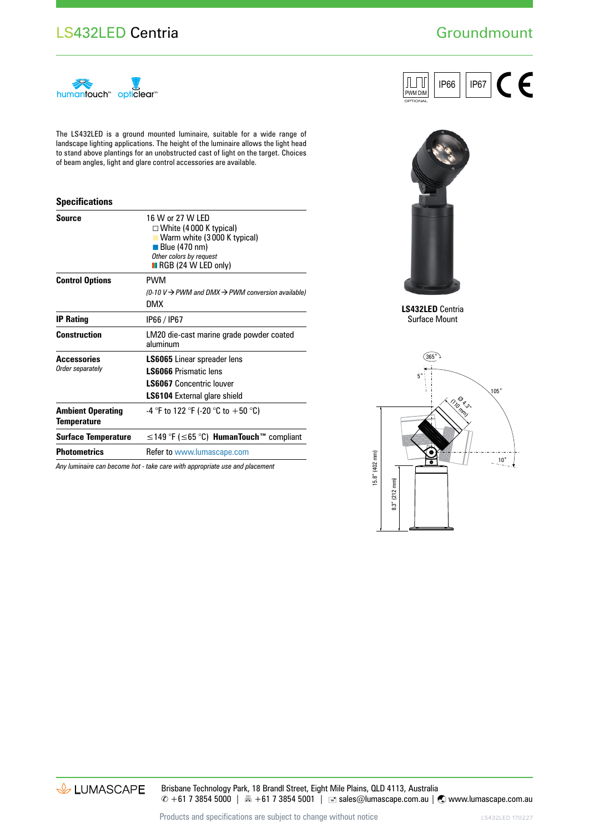## LS432LED Centria

# **Groundmount**



The LS432LED is a ground mounted luminaire, suitable for a wide range of landscape lighting applications. The height of the luminaire allows the light head to stand above plantings for an unobstructed cast of light on the target. Choices of beam angles, light and glare control accessories are available.

#### **Specifications**

| <b>Source</b>                                  | 16 W or 27 W LED<br>$\Box$ White (4000 K typical)<br>Warm white (3000 K typical)<br>$\blacksquare$ Blue (470 nm)<br>Other colors by request<br>$\blacksquare$ RGB (24 W LED only) |  |
|------------------------------------------------|-----------------------------------------------------------------------------------------------------------------------------------------------------------------------------------|--|
| <b>Control Options</b>                         | PWM<br>(0-10 V $\rightarrow$ PWM and DMX $\rightarrow$ PWM conversion available)<br>DMX                                                                                           |  |
| <b>IP Rating</b>                               | IP66 / IP67                                                                                                                                                                       |  |
| <b>Construction</b>                            | LM20 die-cast marine grade powder coated<br>aluminum                                                                                                                              |  |
| <b>Accessories</b><br>Order separately         | <b>LS6065</b> Linear spreader lens<br><b>LS6066 Prismatic lens</b><br>LS6067 Concentric louver<br><b>LS6104</b> External glare shield                                             |  |
| <b>Ambient Operating</b><br><b>Temperature</b> | -4 °F to 122 °F (-20 °C to +50 °C)                                                                                                                                                |  |
| <b>Surface Temperature</b>                     | $\leq$ 149 °F ( $\leq$ 65 °C) <b>HumanTouch</b> <sup>™</sup> compliant                                                                                                            |  |
| <b>Photometrics</b>                            | Refer to www.lumascape.com                                                                                                                                                        |  |

*Any luminaire can become hot - take care with appropriate use and placement*





**LS432LED** Centria Surface Mount



& LUMASCAPE

Brisbane Technology Park, 18 Brandl Street, Eight Mile Plains, QLD 4113, Australia  $\degree$  +61 7 3854 5000 | A +61 7 3854 5001 | ■ sales@lumascape.com.au |  $\degree$  www.lumascape.com.au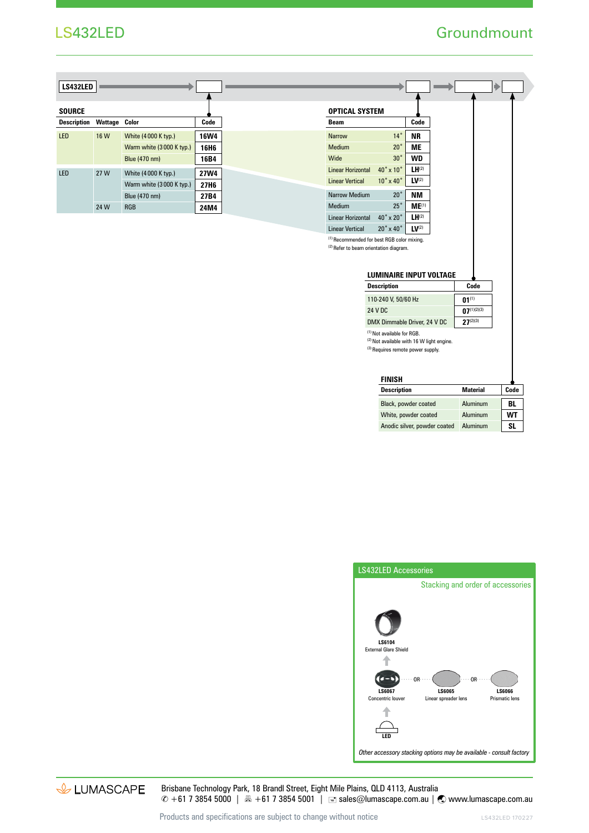### LS432LED

## **Groundmount**

| LS432LED           |         |                          |                  |
|--------------------|---------|--------------------------|------------------|
|                    |         |                          |                  |
| <b>SOURCE</b>      |         |                          |                  |
| <b>Description</b> | Wattage | Color                    | Code             |
| LED                | 16 W    | White (4000 K typ.)      | <b>16W4</b>      |
|                    |         | Warm white (3000 K typ.) | 16H <sub>6</sub> |
|                    |         | Blue (470 nm)            | 16B4             |
| LED                | 27 W    | White (4000 K typ.)      | 27W4             |
|                    |         | Warm white (3000 K typ.) | 27H6             |
|                    |         | Blue (470 nm)            | 27B4             |
|                    | 24 W    | <b>RGB</b>               | 24M4             |

| OPTICAL SYSTEM                                    |                                |                   |
|---------------------------------------------------|--------------------------------|-------------------|
| Beam                                              |                                | Code              |
| <b>Narrow</b>                                     | $14^\circ$                     | <b>NR</b>         |
| Medium                                            | $20^{\circ}$                   | МE                |
| Wide                                              | 30 <sup>°</sup>                | WD                |
| Linear Horizontal                                 | 40° x 10°                      | $LH^{(2)}$        |
| <b>Linear Vertical</b>                            | $10^\circ \times 40^\circ$     | LV <sup>(2)</sup> |
| Narrow Medium                                     | $20^{\circ}$                   | NΜ                |
| Medium                                            | $25^{\circ}$                   | $ME^{(1)}$        |
| Linear Horizontal                                 | 40° x 20°                      | $LH^{(2)}$        |
| <b>Linear Vertical</b>                            | $20^\circ \times 40^\circ$     | LV <sup>(2)</sup> |
| (1) Recommended for best RGB color mixing.        |                                |                   |
| <sup>(2)</sup> Refer to beam orientation diagram. |                                |                   |
|                                                   |                                |                   |
|                                                   | <b>LUMINAIRE INPUT VOLTAGE</b> |                   |
|                                                   | <b>Description</b>             |                   |

| 110-240 V. 50/60 Hz          | $01^{(1)}$       |
|------------------------------|------------------|
| 24 V DC                      | $07^{(1)(2)(3)}$ |
| DMX Dimmable Driver, 24 V DC | $27^{(2)(3)}$    |
|                              |                  |

<sup>1)</sup> Not available for RGB. (2) Not available with 16 W light engine.

(3) Requires remote power supply.

| <b>Description</b>           | Material | Code |
|------------------------------|----------|------|
| Black, powder coated         | Aluminum | BL   |
| White, powder coated         | Aluminum | WΤ   |
| Anodic silver, powder coated | Aluminum |      |



& LUMASCAPE

Brisbane Technology Park, 18 Brandl Street, Eight Mile Plains, QLD 4113, Australia ✆ +61 7 3854 5000 | +61 7 3854 5001 | sales@lumascape.com.au | www.lumascape.com.au